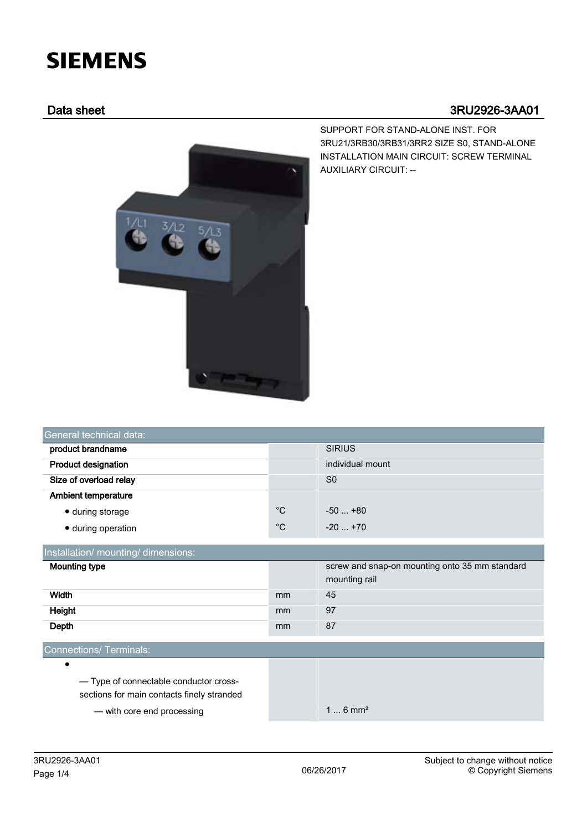## **SIEMENS**

## Data sheet 3RU2926-3AA01



SUPPORT FOR STAND-ALONE INST. FOR 3RU21/3RB30/3RB31/3RR2 SIZE S0, STAND-ALONE INSTALLATION MAIN CIRCUIT: SCREW TERMINAL AUXILIARY CIRCUIT: --

| product brandname          |             | <b>SIRIUS</b>    |  |
|----------------------------|-------------|------------------|--|
| <b>Product designation</b> |             | individual mount |  |
| Size of overload relay     |             | S <sub>0</sub>   |  |
| <b>Ambient temperature</b> |             |                  |  |
| • during storage           | $^{\circ}C$ | $-50+80$         |  |
| • during operation         | $^{\circ}C$ | $-20$ $+70$      |  |

| <b>Mounting type</b>                  |    | screw and snap-on mounting onto 35 mm standard<br>mounting rail |  |  |  |  |
|---------------------------------------|----|-----------------------------------------------------------------|--|--|--|--|
| Width                                 | mm | 45                                                              |  |  |  |  |
| Height                                | mm | 97                                                              |  |  |  |  |
| Depth                                 | mm | 87                                                              |  |  |  |  |
|                                       |    |                                                                 |  |  |  |  |
| Connections/Terminals:                |    |                                                                 |  |  |  |  |
| $\bullet$                             |    |                                                                 |  |  |  |  |
| -Type of connectable conductor cross- |    |                                                                 |  |  |  |  |

sections for main contacts finely stranded

— with core end processing and the state of the 1 ... 6 mm<sup>2</sup>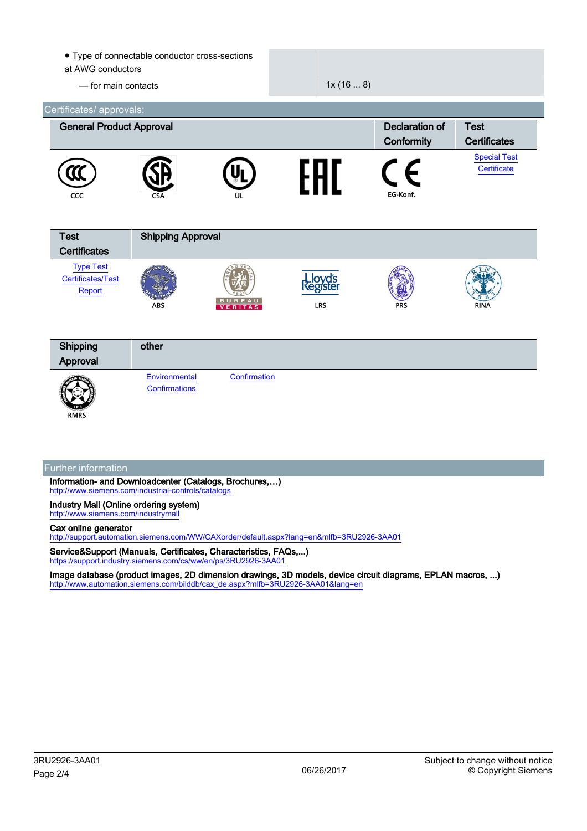| at AWG conductors<br>- for main contacts                    | • Type of connectable conductor cross-sections |                | 1x(168)    |                                     |                                    |
|-------------------------------------------------------------|------------------------------------------------|----------------|------------|-------------------------------------|------------------------------------|
| Certificates/ approvals:<br><b>General Product Approval</b> |                                                |                |            | <b>Declaration of</b><br>Conformity | <b>Test</b><br><b>Certificates</b> |
| CCC                                                         |                                                | UL             | <b>FHT</b> | ∈<br>EG-Konf.                       | <b>Special Test</b><br>Certificate |
| <b>Test</b><br><b>Certificates</b>                          | <b>Shipping Approval</b>                       |                |            |                                     |                                    |
| <b>Type Test</b><br>Certificates/Test<br>Report             | <b>ABS</b>                                     | <b>VERITAS</b> | <b>LRS</b> |                                     | RINA                               |
| Shipping<br>Approval                                        | other                                          |                |            |                                     |                                    |
| <b>RMRS</b>                                                 | Environmental<br>Confirmations                 | Confirmation   |            |                                     |                                    |
| <b>Further information</b>                                  |                                                |                |            |                                     |                                    |

Information- and Downloadcenter (Catalogs, Brochures,…) <http://www.siemens.com/industrial-controls/catalogs>

Industry Mall (Online ordering system) <http://www.siemens.com/industrymall>

## Cax online generator

<http://support.automation.siemens.com/WW/CAXorder/default.aspx?lang=en&mlfb=3RU2926-3AA01>

Service&Support (Manuals, Certificates, Characteristics, FAQs,...) <https://support.industry.siemens.com/cs/ww/en/ps/3RU2926-3AA01>

Image database (product images, 2D dimension drawings, 3D models, device circuit diagrams, EPLAN macros, ...) [http://www.automation.siemens.com/bilddb/cax\\_de.aspx?mlfb=3RU2926-3AA01&lang=en](http://www.automation.siemens.com/bilddb/cax_de.aspx?mlfb=3RU2926-3AA01&lang=en)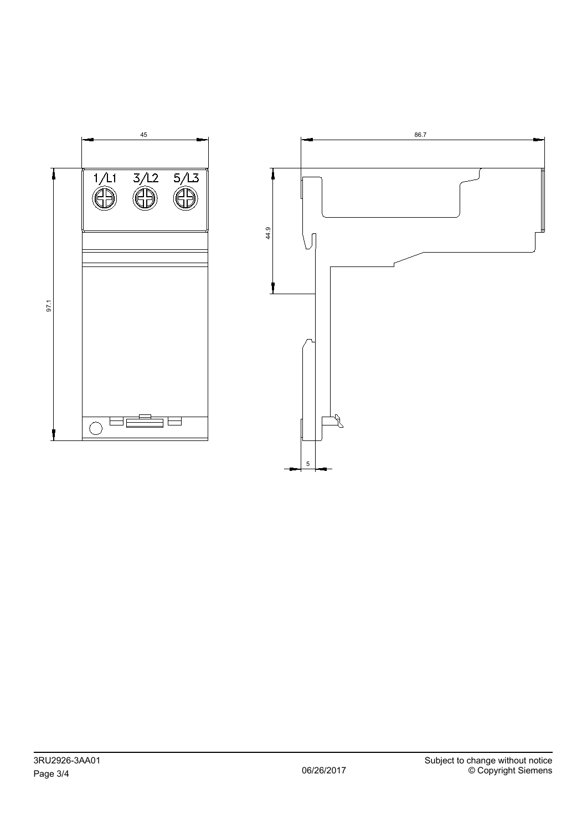